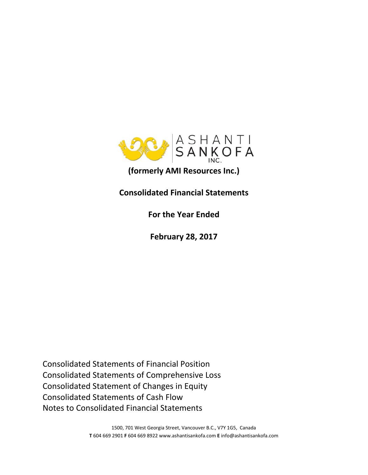

# **(formerly AMI Resources Inc.)**

# **Consolidated Financial Statements**

**For the Year Ended** 

**February 28, 2017** 

Consolidated Statements of Financial Position Consolidated Statements of Comprehensive Loss Consolidated Statement of Changes in Equity Consolidated Statements of Cash Flow Notes to Consolidated Financial Statements

> 1500, 701 West Georgia Street, Vancouver B.C., V7Y 1G5, Canada **T** 604 669 2901 **F** 604 669 8922 www.ashantisankofa.com **E** info@ashantisankofa.com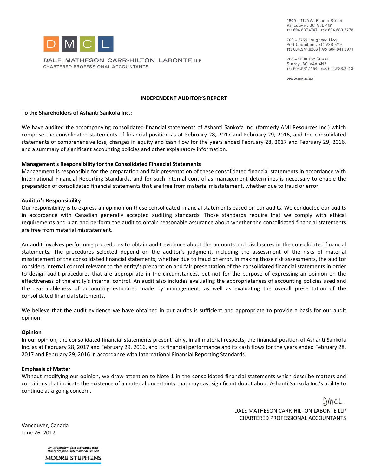1500 - 1140 W. Pender Street Vancouver, BC V6E 4G1 TEL 604.687.4747 | FAX 604.689.2778

700 - 2755 Lougheed Hwy. Port Coquitlam, BC V3B 5Y9 TEL 604.941.8266 | FAX 604.941.0971

200 - 1688 152 Street Surrey, BC V4A 4N2 TEL 604.531.1154 | FAX 604.538.2613

WWW DMCLCA



#### **INDEPENDENT AUDITOR'S REPORT**

#### **To the Shareholders of Ashanti Sankofa Inc.:**

We have audited the accompanying consolidated financial statements of Ashanti Sankofa Inc. (formerly AMI Resources Inc.) which comprise the consolidated statements of financial position as at February 28, 2017 and February 29, 2016, and the consolidated statements of comprehensive loss, changes in equity and cash flow for the years ended February 28, 2017 and February 29, 2016, and a summary of significant accounting policies and other explanatory information.

#### **Management's Responsibility for the Consolidated Financial Statements**

Management is responsible for the preparation and fair presentation of these consolidated financial statements in accordance with International Financial Reporting Standards, and for such internal control as management determines is necessary to enable the preparation of consolidated financial statements that are free from material misstatement, whether due to fraud or error.

#### **Auditor's Responsibility**

Our responsibility is to express an opinion on these consolidated financial statements based on our audits. We conducted our audits in accordance with Canadian generally accepted auditing standards. Those standards require that we comply with ethical requirements and plan and perform the audit to obtain reasonable assurance about whether the consolidated financial statements are free from material misstatement.

An audit involves performing procedures to obtain audit evidence about the amounts and disclosures in the consolidated financial statements. The procedures selected depend on the auditor's judgment, including the assessment of the risks of material misstatement of the consolidated financial statements, whether due to fraud or error. In making those risk assessments, the auditor considers internal control relevant to the entity's preparation and fair presentation of the consolidated financial statements in order to design audit procedures that are appropriate in the circumstances, but not for the purpose of expressing an opinion on the effectiveness of the entity's internal control. An audit also includes evaluating the appropriateness of accounting policies used and the reasonableness of accounting estimates made by management, as well as evaluating the overall presentation of the consolidated financial statements.

We believe that the audit evidence we have obtained in our audits is sufficient and appropriate to provide a basis for our audit opinion.

#### **Opinion**

In our opinion, the consolidated financial statements present fairly, in all material respects, the financial position of Ashanti Sankofa Inc. as at February 28, 2017 and February 29, 2016, and its financial performance and its cash flows for the years ended February 28, 2017 and February 29, 2016 in accordance with International Financial Reporting Standards.

#### **Emphasis of Matter**

Without modifying our opinion, we draw attention to Note 1 in the consolidated financial statements which describe matters and conditions that indicate the existence of a material uncertainty that may cast significant doubt about Ashanti Sankofa Inc.'s ability to continue as a going concern.

> *IMCL* DALE MATHESON CARR-HILTON LABONTE LLP CHARTERED PROFESSIONAL ACCOUNTANTS

Vancouver, Canada June 26, 2017

> An independent firm associated with<br>Moore Stephens International Limited **MOORE STEPHENS**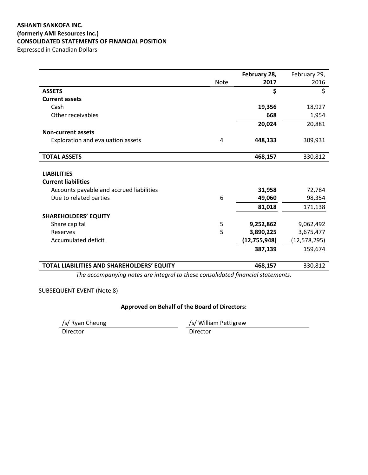## **ASHANTI SANKOFA INC. (formerly AMI Resources Inc.) CONSOLIDATED STATEMENTS OF FINANCIAL POSITION**  Expressed in Canadian Dollars

|                                            |             | February 28, | February 29,   |
|--------------------------------------------|-------------|--------------|----------------|
|                                            | <b>Note</b> | 2017         | 2016           |
| <b>ASSETS</b>                              |             | \$           | \$             |
| <b>Current assets</b>                      |             |              |                |
| Cash                                       |             | 19,356       | 18,927         |
| Other receivables                          |             | 668          | 1,954          |
|                                            |             | 20,024       | 20,881         |
| <b>Non-current assets</b>                  |             |              |                |
| Exploration and evaluation assets          | 4           | 448,133      | 309,931        |
| <b>TOTAL ASSETS</b>                        |             | 468,157      | 330,812        |
| <b>LIABILITIES</b>                         |             |              |                |
| <b>Current liabilities</b>                 |             |              |                |
| Accounts payable and accrued liabilities   |             | 31,958       | 72,784         |
| Due to related parties                     | 6           | 49,060       | 98,354         |
|                                            |             |              |                |
|                                            |             | 81,018       | 171,138        |
| <b>SHAREHOLDERS' EQUITY</b>                |             |              |                |
| Share capital                              | 5           | 9,252,862    | 9,062,492      |
| Reserves                                   | 5           | 3,890,225    | 3,675,477      |
| Accumulated deficit                        |             | (12,755,948) | (12, 578, 295) |
|                                            |             | 387,139      | 159,674        |
| TOTAL LIABILITIES AND SHAREHOLDERS' EQUITY |             | 468,157      | 330,812        |

*The accompanying notes are integral to these consolidated financial statements.* 

## SUBSEQUENT EVENT (Note 8)

## **Approved on Behalf of the Board of Directors:**

/s/ Ryan Cheung /s/ William Pettigrew

Director Director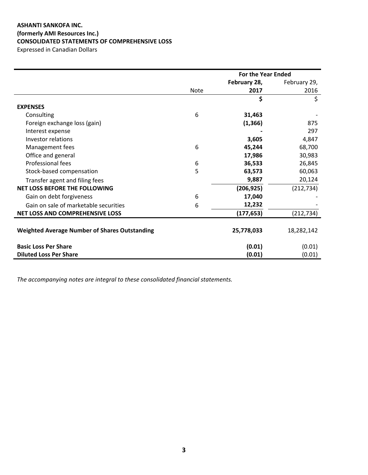## **ASHANTI SANKOFA INC. (formerly AMI Resources Inc.) CONSOLIDATED STATEMENTS OF COMPREHENSIVE LOSS**  Expressed in Canadian Dollars

|                                                      | <b>For the Year Ended</b> |              |              |
|------------------------------------------------------|---------------------------|--------------|--------------|
|                                                      |                           | February 28, | February 29, |
|                                                      | <b>Note</b>               | 2017         | 2016         |
|                                                      |                           | \$           | \$           |
| <b>EXPENSES</b>                                      |                           |              |              |
| Consulting                                           | 6                         | 31,463       |              |
| Foreign exchange loss (gain)                         |                           | (1, 366)     | 875          |
| Interest expense                                     |                           |              | 297          |
| Investor relations                                   |                           | 3,605        | 4,847        |
| Management fees                                      | 6                         | 45,244       | 68,700       |
| Office and general                                   |                           | 17,986       | 30,983       |
| <b>Professional fees</b>                             | 6                         | 36,533       | 26,845       |
| Stock-based compensation                             | 5                         | 63,573       | 60,063       |
| Transfer agent and filing fees                       |                           | 9,887        | 20,124       |
| <b>NET LOSS BEFORE THE FOLLOWING</b>                 |                           | (206,925)    | (212, 734)   |
| Gain on debt forgiveness                             | 6                         | 17,040       |              |
| Gain on sale of marketable securities                | 6                         | 12,232       |              |
| <b>NET LOSS AND COMPREHENSIVE LOSS</b>               |                           | (177, 653)   | (212, 734)   |
|                                                      |                           |              |              |
| <b>Weighted Average Number of Shares Outstanding</b> |                           | 25,778,033   | 18,282,142   |
| <b>Basic Loss Per Share</b>                          |                           | (0.01)       | (0.01)       |
| <b>Diluted Loss Per Share</b>                        |                           | (0.01)       | (0.01)       |

*The accompanying notes are integral to these consolidated financial statements.*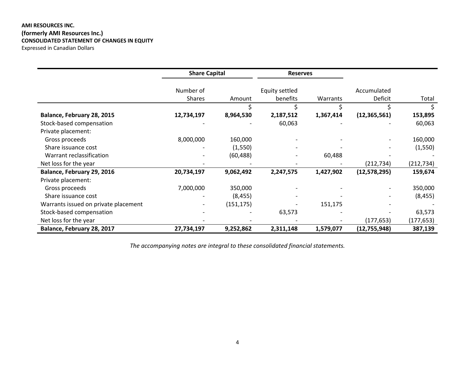## **AMI RESOURCES INC. (formerly AMI Resources Inc.) CONSOLIDATED STATEMENT OF CHANGES IN EQUITY**  Expressed in Canadian Dollars

|                                      |               | <b>Share Capital</b><br><b>Reserves</b> |                |           |                |            |
|--------------------------------------|---------------|-----------------------------------------|----------------|-----------|----------------|------------|
|                                      | Number of     |                                         | Equity settled |           | Accumulated    |            |
|                                      | <b>Shares</b> | Amount                                  | benefits       | Warrants  | Deficit        | Total      |
|                                      |               |                                         |                |           |                |            |
| Balance, February 28, 2015           | 12,734,197    | 8,964,530                               | 2,187,512      | 1,367,414 | (12, 365, 561) | 153,895    |
| Stock-based compensation             |               |                                         | 60,063         |           |                | 60,063     |
| Private placement:                   |               |                                         |                |           |                |            |
| Gross proceeds                       | 8,000,000     | 160,000                                 |                |           |                | 160,000    |
| Share issuance cost                  |               | (1,550)                                 |                |           |                | (1,550)    |
| Warrant reclassification             |               | (60, 488)                               |                | 60,488    |                |            |
| Net loss for the year                |               |                                         |                |           | (212, 734)     | (212, 734) |
| Balance, February 29, 2016           | 20,734,197    | 9,062,492                               | 2,247,575      | 1,427,902 | (12, 578, 295) | 159,674    |
| Private placement:                   |               |                                         |                |           |                |            |
| Gross proceeds                       | 7,000,000     | 350,000                                 |                |           |                | 350,000    |
| Share issuance cost                  |               | (8, 455)                                |                |           |                | (8, 455)   |
| Warrants issued on private placement |               | (151, 175)                              |                | 151,175   |                |            |
| Stock-based compensation             |               |                                         | 63,573         |           |                | 63,573     |
| Net loss for the year                |               |                                         |                |           | (177, 653)     | (177, 653) |
| Balance, February 28, 2017           | 27,734,197    | 9,252,862                               | 2,311,148      | 1,579,077 | (12,755,948)   | 387,139    |

*The accompanying notes are integral to these consolidated financial statements.*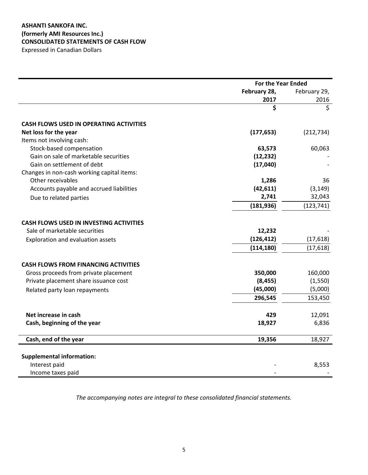## **ASHANTI SANKOFA INC. (formerly AMI Resources Inc.) CONSOLIDATED STATEMENTS OF CASH FLOW**  Expressed in Canadian Dollars

|                                                   | <b>For the Year Ended</b> |              |  |
|---------------------------------------------------|---------------------------|--------------|--|
|                                                   | February 28,              | February 29, |  |
|                                                   | 2017                      | 2016         |  |
|                                                   | \$                        | \$           |  |
| <b>CASH FLOWS USED IN OPERATING ACTIVITIES</b>    |                           |              |  |
| Net loss for the year                             | (177, 653)                | (212, 734)   |  |
| Items not involving cash:                         |                           |              |  |
| Stock-based compensation                          | 63,573                    | 60,063       |  |
| Gain on sale of marketable securities             | (12, 232)                 |              |  |
| Gain on settlement of debt                        | (17,040)                  |              |  |
| Changes in non-cash working capital items:        |                           |              |  |
| Other receivables                                 | 1,286                     | 36           |  |
| Accounts payable and accrued liabilities          | (42, 611)                 | (3, 149)     |  |
| Due to related parties                            | 2,741                     | 32,043       |  |
|                                                   | (181, 936)                | (123, 741)   |  |
| <b>CASH FLOWS USED IN INVESTING ACTIVITIES</b>    |                           |              |  |
| Sale of marketable securities                     | 12,232                    |              |  |
| Exploration and evaluation assets                 | (126, 412)                | (17, 618)    |  |
|                                                   | (114, 180)                | (17, 618)    |  |
| <b>CASH FLOWS FROM FINANCING ACTIVITIES</b>       |                           |              |  |
| Gross proceeds from private placement             | 350,000                   | 160,000      |  |
| Private placement share issuance cost             | (8, 455)                  | (1,550)      |  |
| Related party loan repayments                     | (45,000)                  | (5,000)      |  |
|                                                   | 296,545                   | 153,450      |  |
| Net increase in cash                              | 429                       | 12,091       |  |
| Cash, beginning of the year                       | 18,927                    | 6,836        |  |
| Cash, end of the year                             | 19,356                    | 18,927       |  |
|                                                   |                           |              |  |
| <b>Supplemental information:</b><br>Interest paid |                           | 8,553        |  |
| Income taxes paid                                 |                           |              |  |
|                                                   |                           |              |  |

*The accompanying notes are integral to these consolidated financial statements.*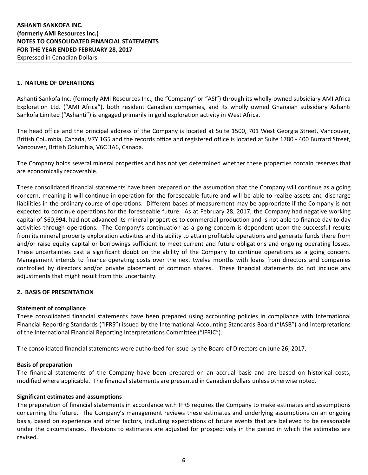## **1. NATURE OF OPERATIONS**

Ashanti Sankofa Inc. (formerly AMI Resources Inc., the "Company" or "ASI") through its wholly-owned subsidiary AMI Africa Exploration Ltd. ("AMI Africa"), both resident Canadian companies, and its wholly owned Ghanaian subsidiary Ashanti Sankofa Limited ("Ashanti") is engaged primarily in gold exploration activity in West Africa.

The head office and the principal address of the Company is located at Suite 1500, 701 West Georgia Street, Vancouver, British Columbia, Canada, V7Y 1G5 and the records office and registered office is located at Suite 1780 - 400 Burrard Street, Vancouver, British Columbia, V6C 3A6, Canada.

The Company holds several mineral properties and has not yet determined whether these properties contain reserves that are economically recoverable.

These consolidated financial statements have been prepared on the assumption that the Company will continue as a going concern, meaning it will continue in operation for the foreseeable future and will be able to realize assets and discharge liabilities in the ordinary course of operations. Different bases of measurement may be appropriate if the Company is not expected to continue operations for the foreseeable future. As at February 28, 2017, the Company had negative working capital of \$60,994, had not advanced its mineral properties to commercial production and is not able to finance day to day activities through operations. The Company's continuation as a going concern is dependent upon the successful results from its mineral property exploration activities and its ability to attain profitable operations and generate funds there from and/or raise equity capital or borrowings sufficient to meet current and future obligations and ongoing operating losses. These uncertainties cast a significant doubt on the ability of the Company to continue operations as a going concern. Management intends to finance operating costs over the next twelve months with loans from directors and companies controlled by directors and/or private placement of common shares. These financial statements do not include any adjustments that might result from this uncertainty.

#### **2. BASIS OF PRESENTATION**

#### **Statement of compliance**

These consolidated financial statements have been prepared using accounting policies in compliance with International Financial Reporting Standards ("IFRS") issued by the International Accounting Standards Board ("IASB") and interpretations of the International Financial Reporting Interpretations Committee ("IFRIC").

The consolidated financial statements were authorized for issue by the Board of Directors on June 26, 2017.

#### **Basis of preparation**

The financial statements of the Company have been prepared on an accrual basis and are based on historical costs, modified where applicable. The financial statements are presented in Canadian dollars unless otherwise noted.

#### **Significant estimates and assumptions**

The preparation of financial statements in accordance with IFRS requires the Company to make estimates and assumptions concerning the future. The Company's management reviews these estimates and underlying assumptions on an ongoing basis, based on experience and other factors, including expectations of future events that are believed to be reasonable under the circumstances. Revisions to estimates are adjusted for prospectively in the period in which the estimates are revised.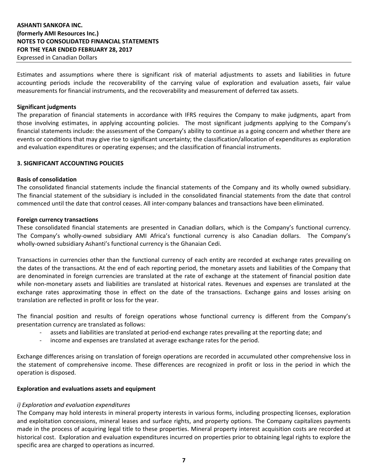Expressed in Canadian Dollars

Estimates and assumptions where there is significant risk of material adjustments to assets and liabilities in future accounting periods include the recoverability of the carrying value of exploration and evaluation assets, fair value measurements for financial instruments, and the recoverability and measurement of deferred tax assets.

#### **Significant judgments**

The preparation of financial statements in accordance with IFRS requires the Company to make judgments, apart from those involving estimates, in applying accounting policies. The most significant judgments applying to the Company's financial statements include: the assessment of the Company's ability to continue as a going concern and whether there are events or conditions that may give rise to significant uncertainty; the classification/allocation of expenditures as exploration and evaluation expenditures or operating expenses; and the classification of financial instruments.

## **3. SIGNIFICANT ACCOUNTING POLICIES**

#### **Basis of consolidation**

The consolidated financial statements include the financial statements of the Company and its wholly owned subsidiary. The financial statement of the subsidiary is included in the consolidated financial statements from the date that control commenced until the date that control ceases. All inter-company balances and transactions have been eliminated.

#### **Foreign currency transactions**

These consolidated financial statements are presented in Canadian dollars, which is the Company's functional currency. The Company's wholly-owned subsidiary AMI Africa's functional currency is also Canadian dollars. The Company's wholly-owned subsidiary Ashanti's functional currency is the Ghanaian Cedi.

Transactions in currencies other than the functional currency of each entity are recorded at exchange rates prevailing on the dates of the transactions. At the end of each reporting period, the monetary assets and liabilities of the Company that are denominated in foreign currencies are translated at the rate of exchange at the statement of financial position date while non-monetary assets and liabilities are translated at historical rates. Revenues and expenses are translated at the exchange rates approximating those in effect on the date of the transactions. Exchange gains and losses arising on translation are reflected in profit or loss for the year.

The financial position and results of foreign operations whose functional currency is different from the Company's presentation currency are translated as follows:

- assets and liabilities are translated at period-end exchange rates prevailing at the reporting date; and
- income and expenses are translated at average exchange rates for the period.

Exchange differences arising on translation of foreign operations are recorded in accumulated other comprehensive loss in the statement of comprehensive income. These differences are recognized in profit or loss in the period in which the operation is disposed.

## **Exploration and evaluations assets and equipment**

## *i) Exploration and evaluation expenditures*

The Company may hold interests in mineral property interests in various forms, including prospecting licenses, exploration and exploitation concessions, mineral leases and surface rights, and property options. The Company capitalizes payments made in the process of acquiring legal title to these properties. Mineral property interest acquisition costs are recorded at historical cost. Exploration and evaluation expenditures incurred on properties prior to obtaining legal rights to explore the specific area are charged to operations as incurred.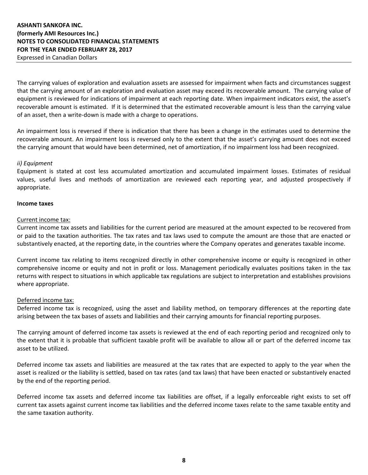Expressed in Canadian Dollars

The carrying values of exploration and evaluation assets are assessed for impairment when facts and circumstances suggest that the carrying amount of an exploration and evaluation asset may exceed its recoverable amount. The carrying value of equipment is reviewed for indications of impairment at each reporting date. When impairment indicators exist, the asset's recoverable amount is estimated. If it is determined that the estimated recoverable amount is less than the carrying value of an asset, then a write-down is made with a charge to operations.

An impairment loss is reversed if there is indication that there has been a change in the estimates used to determine the recoverable amount. An impairment loss is reversed only to the extent that the asset's carrying amount does not exceed the carrying amount that would have been determined, net of amortization, if no impairment loss had been recognized.

#### *ii) Equipment*

Equipment is stated at cost less accumulated amortization and accumulated impairment losses. Estimates of residual values, useful lives and methods of amortization are reviewed each reporting year, and adjusted prospectively if appropriate.

#### **Income taxes**

#### Current income tax:

Current income tax assets and liabilities for the current period are measured at the amount expected to be recovered from or paid to the taxation authorities. The tax rates and tax laws used to compute the amount are those that are enacted or substantively enacted, at the reporting date, in the countries where the Company operates and generates taxable income.

Current income tax relating to items recognized directly in other comprehensive income or equity is recognized in other comprehensive income or equity and not in profit or loss. Management periodically evaluates positions taken in the tax returns with respect to situations in which applicable tax regulations are subject to interpretation and establishes provisions where appropriate.

#### Deferred income tax:

Deferred income tax is recognized, using the asset and liability method, on temporary differences at the reporting date arising between the tax bases of assets and liabilities and their carrying amounts for financial reporting purposes.

The carrying amount of deferred income tax assets is reviewed at the end of each reporting period and recognized only to the extent that it is probable that sufficient taxable profit will be available to allow all or part of the deferred income tax asset to be utilized.

Deferred income tax assets and liabilities are measured at the tax rates that are expected to apply to the year when the asset is realized or the liability is settled, based on tax rates (and tax laws) that have been enacted or substantively enacted by the end of the reporting period.

Deferred income tax assets and deferred income tax liabilities are offset, if a legally enforceable right exists to set off current tax assets against current income tax liabilities and the deferred income taxes relate to the same taxable entity and the same taxation authority.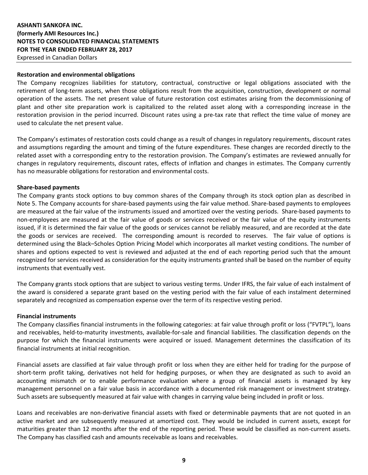Expressed in Canadian Dollars

#### **Restoration and environmental obligations**

The Company recognizes liabilities for statutory, contractual, constructive or legal obligations associated with the retirement of long-term assets, when those obligations result from the acquisition, construction, development or normal operation of the assets. The net present value of future restoration cost estimates arising from the decommissioning of plant and other site preparation work is capitalized to the related asset along with a corresponding increase in the restoration provision in the period incurred. Discount rates using a pre-tax rate that reflect the time value of money are used to calculate the net present value.

The Company's estimates of restoration costs could change as a result of changes in regulatory requirements, discount rates and assumptions regarding the amount and timing of the future expenditures. These changes are recorded directly to the related asset with a corresponding entry to the restoration provision. The Company's estimates are reviewed annually for changes in regulatory requirements, discount rates, effects of inflation and changes in estimates. The Company currently has no measurable obligations for restoration and environmental costs.

#### **Share-based payments**

The Company grants stock options to buy common shares of the Company through its stock option plan as described in Note 5. The Company accounts for share-based payments using the fair value method. Share-based payments to employees are measured at the fair value of the instruments issued and amortized over the vesting periods. Share-based payments to non-employees are measured at the fair value of goods or services received or the fair value of the equity instruments issued, if it is determined the fair value of the goods or services cannot be reliably measured, and are recorded at the date the goods or services are received. The corresponding amount is recorded to reserves. The fair value of options is determined using the Black–Scholes Option Pricing Model which incorporates all market vesting conditions. The number of shares and options expected to vest is reviewed and adjusted at the end of each reporting period such that the amount recognized for services received as consideration for the equity instruments granted shall be based on the number of equity instruments that eventually vest.

The Company grants stock options that are subject to various vesting terms. Under IFRS, the fair value of each instalment of the award is considered a separate grant based on the vesting period with the fair value of each instalment determined separately and recognized as compensation expense over the term of its respective vesting period.

#### **Financial instruments**

The Company classifies financial instruments in the following categories: at fair value through profit or loss ("FVTPL"), loans and receivables, held-to-maturity investments, available-for-sale and financial liabilities. The classification depends on the purpose for which the financial instruments were acquired or issued. Management determines the classification of its financial instruments at initial recognition.

Financial assets are classified at fair value through profit or loss when they are either held for trading for the purpose of short-term profit taking, derivatives not held for hedging purposes, or when they are designated as such to avoid an accounting mismatch or to enable performance evaluation where a group of financial assets is managed by key management personnel on a fair value basis in accordance with a documented risk management or investment strategy. Such assets are subsequently measured at fair value with changes in carrying value being included in profit or loss.

Loans and receivables are non-derivative financial assets with fixed or determinable payments that are not quoted in an active market and are subsequently measured at amortized cost. They would be included in current assets, except for maturities greater than 12 months after the end of the reporting period. These would be classified as non-current assets. The Company has classified cash and amounts receivable as loans and receivables.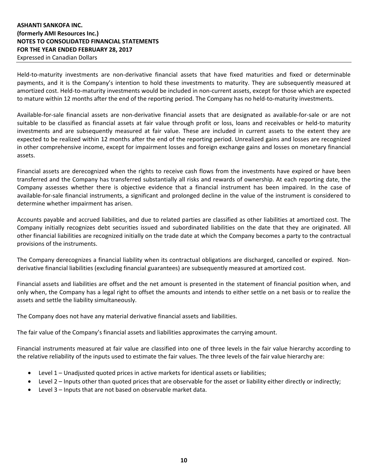## **ASHANTI SANKOFA INC. (formerly AMI Resources Inc.) NOTES TO CONSOLIDATED FINANCIAL STATEMENTS FOR THE YEAR ENDED FEBRUARY 28, 2017**  Expressed in Canadian Dollars

Held-to-maturity investments are non-derivative financial assets that have fixed maturities and fixed or determinable payments, and it is the Company's intention to hold these investments to maturity. They are subsequently measured at amortized cost. Held-to-maturity investments would be included in non-current assets, except for those which are expected to mature within 12 months after the end of the reporting period. The Company has no held-to-maturity investments.

Available-for-sale financial assets are non-derivative financial assets that are designated as available-for-sale or are not suitable to be classified as financial assets at fair value through profit or loss, loans and receivables or held-to maturity investments and are subsequently measured at fair value. These are included in current assets to the extent they are expected to be realized within 12 months after the end of the reporting period. Unrealized gains and losses are recognized in other comprehensive income, except for impairment losses and foreign exchange gains and losses on monetary financial assets.

Financial assets are derecognized when the rights to receive cash flows from the investments have expired or have been transferred and the Company has transferred substantially all risks and rewards of ownership. At each reporting date, the Company assesses whether there is objective evidence that a financial instrument has been impaired. In the case of available-for-sale financial instruments, a significant and prolonged decline in the value of the instrument is considered to determine whether impairment has arisen.

Accounts payable and accrued liabilities, and due to related parties are classified as other liabilities at amortized cost. The Company initially recognizes debt securities issued and subordinated liabilities on the date that they are originated. All other financial liabilities are recognized initially on the trade date at which the Company becomes a party to the contractual provisions of the instruments.

The Company derecognizes a financial liability when its contractual obligations are discharged, cancelled or expired. Nonderivative financial liabilities (excluding financial guarantees) are subsequently measured at amortized cost.

Financial assets and liabilities are offset and the net amount is presented in the statement of financial position when, and only when, the Company has a legal right to offset the amounts and intends to either settle on a net basis or to realize the assets and settle the liability simultaneously.

The Company does not have any material derivative financial assets and liabilities.

The fair value of the Company's financial assets and liabilities approximates the carrying amount.

Financial instruments measured at fair value are classified into one of three levels in the fair value hierarchy according to the relative reliability of the inputs used to estimate the fair values. The three levels of the fair value hierarchy are:

- Level 1 Unadjusted quoted prices in active markets for identical assets or liabilities;
- Level 2 Inputs other than quoted prices that are observable for the asset or liability either directly or indirectly;
- Level 3 Inputs that are not based on observable market data.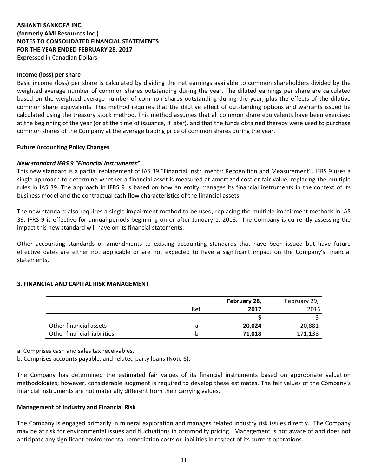Expressed in Canadian Dollars

#### **Income (loss) per share**

Basic income (loss) per share is calculated by dividing the net earnings available to common shareholders divided by the weighted average number of common shares outstanding during the year. The diluted earnings per share are calculated based on the weighted average number of common shares outstanding during the year, plus the effects of the dilutive common share equivalents. This method requires that the dilutive effect of outstanding options and warrants issued be calculated using the treasury stock method. This method assumes that all common share equivalents have been exercised at the beginning of the year (or at the time of issuance, if later), and that the funds obtained thereby were used to purchase common shares of the Company at the average trading price of common shares during the year.

#### **Future Accounting Policy Changes**

## *New standard IFRS 9 "Financial Instruments"*

This new standard is a partial replacement of IAS 39 "Financial Instruments: Recognition and Measurement". IFRS 9 uses a single approach to determine whether a financial asset is measured at amortized cost or fair value, replacing the multiple rules in IAS 39. The approach in IFRS 9 is based on how an entity manages its financial instruments in the context of its business model and the contractual cash flow characteristics of the financial assets.

The new standard also requires a single impairment method to be used, replacing the multiple impairment methods in IAS 39. IFRS 9 is effective for annual periods beginning on or after January 1, 2018. The Company is currently assessing the impact this new standard will have on its financial statements.

Other accounting standards or amendments to existing accounting standards that have been issued but have future effective dates are either not applicable or are not expected to have a significant impact on the Company's financial statements.

#### **3. FINANCIAL AND CAPITAL RISK MANAGEMENT**

|                             |      | February 28, | February 29, |
|-----------------------------|------|--------------|--------------|
|                             | Ref. | 2017         | 2016         |
|                             |      |              |              |
| Other financial assets      | a    | 20,024       | 20,881       |
| Other financial liabilities | b    | 71,018       | 171,138      |

a. Comprises cash and sales tax receivables.

b. Comprises accounts payable, and related party loans (Note 6).

The Company has determined the estimated fair values of its financial instruments based on appropriate valuation methodologies; however, considerable judgment is required to develop these estimates. The fair values of the Company's financial instruments are not materially different from their carrying values.

#### **Management of Industry and Financial Risk**

The Company is engaged primarily in mineral exploration and manages related industry risk issues directly. The Company may be at risk for environmental issues and fluctuations in commodity pricing. Management is not aware of and does not anticipate any significant environmental remediation costs or liabilities in respect of its current operations.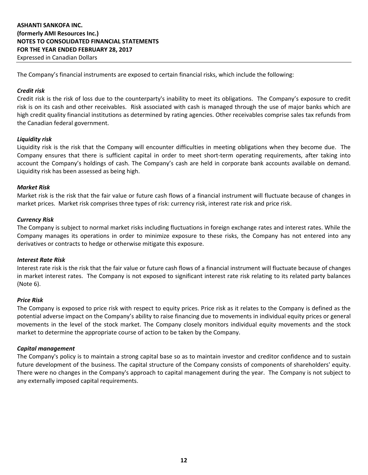The Company's financial instruments are exposed to certain financial risks, which include the following:

## *Credit risk*

Credit risk is the risk of loss due to the counterparty's inability to meet its obligations. The Company's exposure to credit risk is on its cash and other receivables. Risk associated with cash is managed through the use of major banks which are high credit quality financial institutions as determined by rating agencies. Other receivables comprise sales tax refunds from the Canadian federal government.

## *Liquidity risk*

Liquidity risk is the risk that the Company will encounter difficulties in meeting obligations when they become due. The Company ensures that there is sufficient capital in order to meet short-term operating requirements, after taking into account the Company's holdings of cash. The Company's cash are held in corporate bank accounts available on demand. Liquidity risk has been assessed as being high.

## *Market Risk*

Market risk is the risk that the fair value or future cash flows of a financial instrument will fluctuate because of changes in market prices. Market risk comprises three types of risk: currency risk, interest rate risk and price risk.

## *Currency Risk*

The Company is subject to normal market risks including fluctuations in foreign exchange rates and interest rates. While the Company manages its operations in order to minimize exposure to these risks, the Company has not entered into any derivatives or contracts to hedge or otherwise mitigate this exposure.

## *Interest Rate Risk*

Interest rate risk is the risk that the fair value or future cash flows of a financial instrument will fluctuate because of changes in market interest rates. The Company is not exposed to significant interest rate risk relating to its related party balances (Note 6).

## *Price Risk*

The Company is exposed to price risk with respect to equity prices. Price risk as it relates to the Company is defined as the potential adverse impact on the Company's ability to raise financing due to movements in individual equity prices or general movements in the level of the stock market. The Company closely monitors individual equity movements and the stock market to determine the appropriate course of action to be taken by the Company.

## *Capital management*

The Company's policy is to maintain a strong capital base so as to maintain investor and creditor confidence and to sustain future development of the business. The capital structure of the Company consists of components of shareholders' equity. There were no changes in the Company's approach to capital management during the year. The Company is not subject to any externally imposed capital requirements.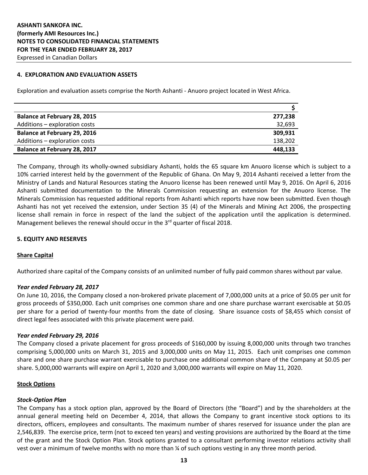## **4. EXPLORATION AND EVALUATION ASSETS**

Exploration and evaluation assets comprise the North Ashanti - Anuoro project located in West Africa.

| <b>Balance at February 28, 2015</b> | 277,238 |
|-------------------------------------|---------|
| Additions - exploration costs       | 32,693  |
| <b>Balance at February 29, 2016</b> | 309,931 |
| Additions - exploration costs       | 138,202 |
| <b>Balance at February 28, 2017</b> | 448,133 |

The Company, through its wholly-owned subsidiary Ashanti, holds the 65 square km Anuoro license which is subject to a 10% carried interest held by the government of the Republic of Ghana. On May 9, 2014 Ashanti received a letter from the Ministry of Lands and Natural Resources stating the Anuoro license has been renewed until May 9, 2016. On April 6, 2016 Ashanti submitted documentation to the Minerals Commission requesting an extension for the Anuoro license. The Minerals Commission has requested additional reports from Ashanti which reports have now been submitted. Even though Ashanti has not yet received the extension, under Section 35 (4) of the Minerals and Mining Act 2006, the prospecting license shall remain in force in respect of the land the subject of the application until the application is determined. Management believes the renewal should occur in the  $3<sup>rd</sup>$  quarter of fiscal 2018.

#### **5. EQUITY AND RESERVES**

#### **Share Capital**

Authorized share capital of the Company consists of an unlimited number of fully paid common shares without par value.

#### *Year ended February 28, 2017*

On June 10, 2016, the Company closed a non-brokered private placement of 7,000,000 units at a price of \$0.05 per unit for gross proceeds of \$350,000. Each unit comprises one common share and one share purchase warrant exercisable at \$0.05 per share for a period of twenty-four months from the date of closing. Share issuance costs of \$8,455 which consist of direct legal fees associated with this private placement were paid.

#### *Year ended February 29, 2016*

The Company closed a private placement for gross proceeds of \$160,000 by issuing 8,000,000 units through two tranches comprising 5,000,000 units on March 31, 2015 and 3,000,000 units on May 11, 2015. Each unit comprises one common share and one share purchase warrant exercisable to purchase one additional common share of the Company at \$0.05 per share. 5,000,000 warrants will expire on April 1, 2020 and 3,000,000 warrants will expire on May 11, 2020.

#### **Stock Options**

#### *Stock-Option Plan*

The Company has a stock option plan, approved by the Board of Directors (the "Board") and by the shareholders at the annual general meeting held on December 4, 2014, that allows the Company to grant incentive stock options to its directors, officers, employees and consultants. The maximum number of shares reserved for issuance under the plan are 2,546,839. The exercise price, term (not to exceed ten years) and vesting provisions are authorized by the Board at the time of the grant and the Stock Option Plan. Stock options granted to a consultant performing investor relations activity shall vest over a minimum of twelve months with no more than ¼ of such options vesting in any three month period.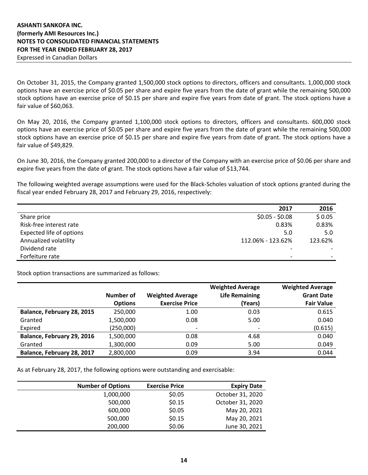On October 31, 2015, the Company granted 1,500,000 stock options to directors, officers and consultants. 1,000,000 stock options have an exercise price of \$0.05 per share and expire five years from the date of grant while the remaining 500,000 stock options have an exercise price of \$0.15 per share and expire five years from date of grant. The stock options have a fair value of \$60,063.

On May 20, 2016, the Company granted 1,100,000 stock options to directors, officers and consultants. 600,000 stock options have an exercise price of \$0.05 per share and expire five years from the date of grant while the remaining 500,000 stock options have an exercise price of \$0.15 per share and expire five years from date of grant. The stock options have a fair value of \$49,829.

On June 30, 2016, the Company granted 200,000 to a director of the Company with an exercise price of \$0.06 per share and expire five years from the date of grant. The stock options have a fair value of \$13,744.

The following weighted average assumptions were used for the Black-Scholes valuation of stock options granted during the fiscal year ended February 28, 2017 and February 29, 2016, respectively:

|                          | 2017              | 2016    |
|--------------------------|-------------------|---------|
| Share price              | $$0.05 - $0.08$$  | \$0.05  |
| Risk-free interest rate  | 0.83%             | 0.83%   |
| Expected life of options | 5.0               | 5.0     |
| Annualized volatility    | 112.06% - 123.62% | 123.62% |
| Dividend rate            |                   |         |
| Forfeiture rate          |                   |         |

Stock option transactions are summarized as follows:

|                            |                |                         | <b>Weighted Average</b>  | <b>Weighted Average</b> |
|----------------------------|----------------|-------------------------|--------------------------|-------------------------|
|                            | Number of      | <b>Weighted Average</b> | <b>Life Remaining</b>    | <b>Grant Date</b>       |
|                            | <b>Options</b> | <b>Exercise Price</b>   | (Years)                  | <b>Fair Value</b>       |
| Balance, February 28, 2015 | 250,000        | 1.00                    | 0.03                     | 0.615                   |
| Granted                    | 1,500,000      | 0.08                    | 5.00                     | 0.040                   |
| Expired                    | (250,000)      | $\qquad \qquad$         | $\overline{\phantom{a}}$ | (0.615)                 |
| Balance, February 29, 2016 | 1,500,000      | 0.08                    | 4.68                     | 0.040                   |
| Granted                    | 1,300,000      | 0.09                    | 5.00                     | 0.049                   |
| Balance, February 28, 2017 | 2,800,000      | 0.09                    | 3.94                     | 0.044                   |

As at February 28, 2017, the following options were outstanding and exercisable:

| <b>Number of Options</b> | <b>Exercise Price</b> | <b>Expiry Date</b> |
|--------------------------|-----------------------|--------------------|
| 1,000,000                | \$0.05                | October 31, 2020   |
| 500,000                  | \$0.15                | October 31, 2020   |
| 600,000                  | \$0.05                | May 20, 2021       |
| 500,000                  | \$0.15                | May 20, 2021       |
| 200,000                  | \$0.06                | June 30, 2021      |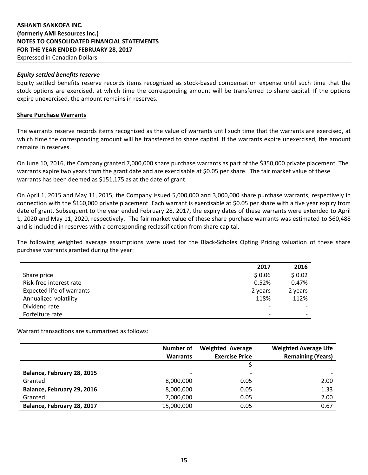#### *Equity settled benefits reserve*

Equity settled benefits reserve records items recognized as stock-based compensation expense until such time that the stock options are exercised, at which time the corresponding amount will be transferred to share capital. If the options expire unexercised, the amount remains in reserves.

#### **Share Purchase Warrants**

The warrants reserve records items recognized as the value of warrants until such time that the warrants are exercised, at which time the corresponding amount will be transferred to share capital. If the warrants expire unexercised, the amount remains in reserves.

On June 10, 2016, the Company granted 7,000,000 share purchase warrants as part of the \$350,000 private placement. The warrants expire two years from the grant date and are exercisable at \$0.05 per share. The fair market value of these warrants has been deemed as \$151,175 as at the date of grant.

On April 1, 2015 and May 11, 2015, the Company issued 5,000,000 and 3,000,000 share purchase warrants, respectively in connection with the \$160,000 private placement. Each warrant is exercisable at \$0.05 per share with a five year expiry from date of grant. Subsequent to the year ended February 28, 2017, the expiry dates of these warrants were extended to April 1, 2020 and May 11, 2020, respectively. The fair market value of these share purchase warrants was estimated to \$60,488 and is included in reserves with a corresponding reclassification from share capital.

The following weighted average assumptions were used for the Black-Scholes Opting Pricing valuation of these share purchase warrants granted during the year:

|                           | 2017    | 2016                     |
|---------------------------|---------|--------------------------|
| Share price               | \$0.06  | \$0.02                   |
| Risk-free interest rate   | 0.52%   | 0.47%                    |
| Expected life of warrants | 2 years | 2 years                  |
| Annualized volatility     | 118%    | 112%                     |
| Dividend rate             |         |                          |
| Forfeiture rate           |         | $\overline{\phantom{0}}$ |

Warrant transactions are summarized as follows:

|                            | Number of                | <b>Weighted Average</b> | <b>Weighted Average Life</b> |
|----------------------------|--------------------------|-------------------------|------------------------------|
|                            | <b>Warrants</b>          | <b>Exercise Price</b>   | <b>Remaining (Years)</b>     |
|                            |                          |                         |                              |
| Balance, February 28, 2015 | $\overline{\phantom{0}}$ |                         |                              |
| Granted                    | 8,000,000                | 0.05                    | 2.00                         |
| Balance, February 29, 2016 | 8,000,000                | 0.05                    | 1.33                         |
| Granted                    | 7,000,000                | 0.05                    | 2.00                         |
| Balance, February 28, 2017 | 15,000,000               | 0.05                    | 0.67                         |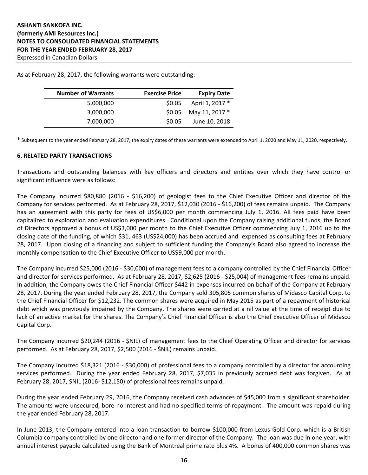Expressed in Canadian Dollars

| <b>Number of Warrants</b> | <b>Exercise Price</b> | <b>Expiry Date</b> |
|---------------------------|-----------------------|--------------------|
| 5,000,000                 | \$0.05                | April 1, 2017 *    |
| 3,000,000                 | \$0.05                | May 11, 2017 *     |
| 7,000,000                 | \$0.05                | June 10, 2018      |

As at February 28, 2017, the following warrants were outstanding:

**\*** Subsequent to the year ended February 28, 2017, the expiry dates of these warrants were extended to April 1, 2020 and May 11, 2020, respectively.

#### **6. RELATED PARTY TRANSACTIONS**

Transactions and outstanding balances with key officers and directors and entities over which they have control or significant influence were as follows:

The Company incurred \$80,880 (2016 - \$16,200) of geologist fees to the Chief Executive Officer and director of the Company for services performed. As at February 28, 2017, \$12,030 (2016 - \$16,200) of fees remains unpaid. The Company has an agreement with this party for fees of US\$6,000 per month commencing July 1, 2016. All fees paid have been capitalized to exploration and evaluation expenditures. Conditional upon the Company raising additional funds, the Board of Directors approved a bonus of US\$3,000 per month to the Chief Executive Officer commencing July 1, 2016 up to the closing date of the funding, of which \$31, 463 (US\$24,000) has been accrued and expensed as consulting fees at February 28, 2017. Upon closing of a financing and subject to sufficient funding the Company's Board also agreed to increase the monthly compensation to the Chief Executive Officer to US\$9,000 per month.

The Company incurred \$25,000 (2016 - \$30,000) of management fees to a company controlled by the Chief Financial Officer and director for services performed. As at February 28, 2017, \$2,625 (2016 - \$25,004) of management fees remains unpaid. In addition, the Company owes the Chief Financial Officer \$442 in expenses incurred on behalf of the Company at February 28, 2017. During the year ended February 28, 2017, the Company sold 305,805 common shares of Midasco Capital Corp. to the Chief Financial Officer for \$12,232. The common shares were acquired in May 2015 as part of a repayment of historical debt which was previously impaired by the Company. The shares were carried at a nil value at the time of receipt due to lack of an active market for the shares. The Company's Chief Financial Officer is also the Chief Executive Officer of Midasco Capital Corp.

The Company incurred \$20,244 (2016 - \$NIL) of management fees to the Chief Operating Officer and director for services performed. As at February 28, 2017, \$2,500 (2016 - \$NIL) remains unpaid.

The Company incurred \$18,321 (2016 - \$30,000) of professional fees to a company controlled by a director for accounting services performed. During the year ended February 28, 2017, \$7,035 in previously accrued debt was forgiven. As at February 28, 2017, \$NIL (2016- \$12,150) of professional fees remains unpaid.

During the year ended February 29, 2016, the Company received cash advances of \$45,000 from a significant shareholder. The amounts were unsecured, bore no interest and had no specified terms of repayment. The amount was repaid during the year ended February 28, 2017.

In June 2013, the Company entered into a loan transaction to borrow \$100,000 from Lexus Gold Corp. which is a British Columbia company controlled by one director and one former director of the Company. The loan was due in one year, with annual interest payable calculated using the Bank of Montreal prime rate plus 4%. A bonus of 400,000 common shares was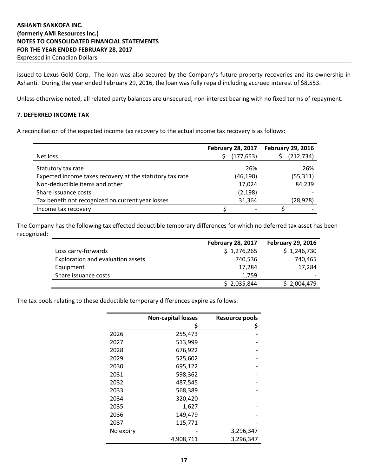issued to Lexus Gold Corp. The loan was also secured by the Company's future property recoveries and its ownership in Ashanti. During the year ended February 29, 2016, the loan was fully repaid including accrued interest of \$8,553.

Unless otherwise noted, all related party balances are unsecured, non-interest bearing with no fixed terms of repayment.

## **7. DEFERRED INCOME TAX**

A reconciliation of the expected income tax recovery to the actual income tax recovery is as follows:

|                                                          | <b>February 29, 2016</b><br><b>February 28, 2017</b> |            |
|----------------------------------------------------------|------------------------------------------------------|------------|
| Net loss                                                 | (177, 653)                                           | (212, 734) |
| Statutory tax rate                                       | 26%                                                  | 26%        |
| Expected income taxes recovery at the statutory tax rate | (46, 190)                                            | (55, 311)  |
| Non-deductible items and other                           | 17,024                                               | 84,239     |
| Share issuance costs                                     | (2, 198)                                             |            |
| Tax benefit not recognized on current year losses        | 31,364                                               | (28,928)   |
| Income tax recovery                                      | $\overline{\phantom{a}}$                             |            |

The Company has the following tax effected deductible temporary differences for which no deferred tax asset has been recognized:

|                                   | <b>February 28, 2017</b> | <b>February 29, 2016</b> |
|-----------------------------------|--------------------------|--------------------------|
| Loss carry-forwards               | \$1,276,265              | \$1,246,730              |
| Exploration and evaluation assets | 740.536                  | 740.465                  |
| Equipment                         | 17.284                   | 17.284                   |
| Share issuance costs              | 1.759                    |                          |
|                                   | \$2,035,844              | \$2,004,479              |

The tax pools relating to these deductible temporary differences expire as follows:

|           | <b>Non-capital losses</b> | Resource pools |
|-----------|---------------------------|----------------|
|           | S                         | \$             |
| 2026      | 255,473                   |                |
| 2027      | 513,999                   |                |
| 2028      | 676,922                   |                |
| 2029      | 525,602                   |                |
| 2030      | 695,122                   |                |
| 2031      | 598,362                   |                |
| 2032      | 487,545                   |                |
| 2033      | 568,389                   |                |
| 2034      | 320,420                   |                |
| 2035      | 1,627                     |                |
| 2036      | 149,479                   |                |
| 2037      | 115,771                   |                |
| No expiry |                           | 3,296,347      |
|           | 4,908,711                 | 3,296,347      |